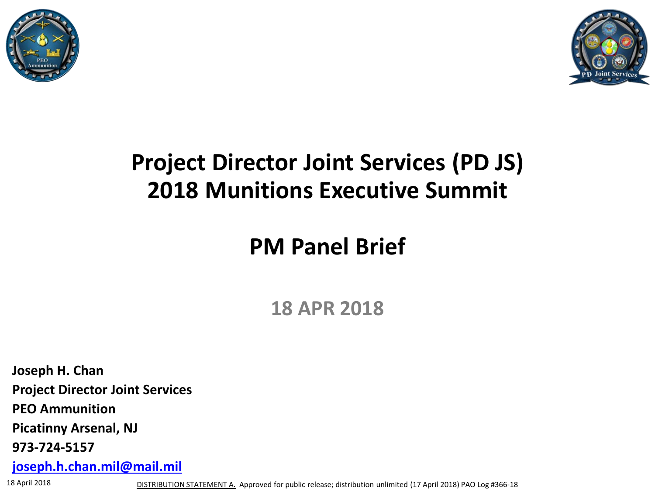



### **Project Director Joint Services (PD JS) 2018 Munitions Executive Summit**

### **PM Panel Brief**

**18 APR 2018**

**Joseph H. Chan Project Director Joint Services PEO Ammunition Picatinny Arsenal, NJ 973-724-5157 [joseph.h.chan.mil@mail.mil](mailto:matthew.t.zimmerman2.civ@mail.mil)**

18 April 2018 **DISTRIBUTION STATEMENT A.** Approved for public release; distribution unlimited (17 April 2018) PAO Log #366-18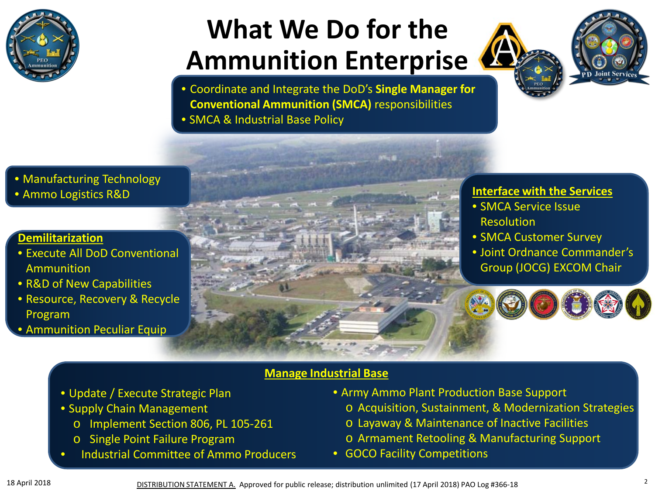

# **What We Do for the Ammunition Enterprise**





• Coordinate and Integrate the DoD's **Single Manager for Conventional Ammunition (SMCA)** responsibilities

• SMCA & Industrial Base Policy

#### • Manufacturing Technology • Ammo Logistics R&D

#### **Demilitarization**

- Execute All DoD Conventional Ammunition
- R&D of New Capabilities
- Resource, Recovery & Recycle Program
- Ammunition Peculiar Equip
- **Interface with the Services**
- SMCA Service Issue Resolution
- SMCA Customer Survey
- Joint Ordnance Commander's Group (JOCG) EXCOM Chair



#### **Manage Industrial Base**

- Update / Execute Strategic Plan
- Supply Chain Management
	- o Implement Section 806, PL 105-261
	- o Single Point Failure Program
- Industrial Committee of Ammo Producers
- Army Ammo Plant Production Base Support
	- o Acquisition, Sustainment, & Modernization Strategies
	- o Layaway & Maintenance of Inactive Facilities
	- o Armament Retooling & Manufacturing Support
- GOCO Facility Competitions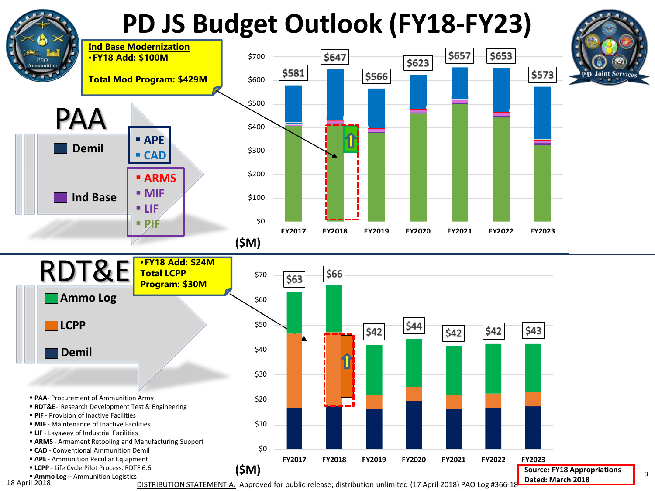# **PD JS Budget Outlook (FY18-FY23)**





3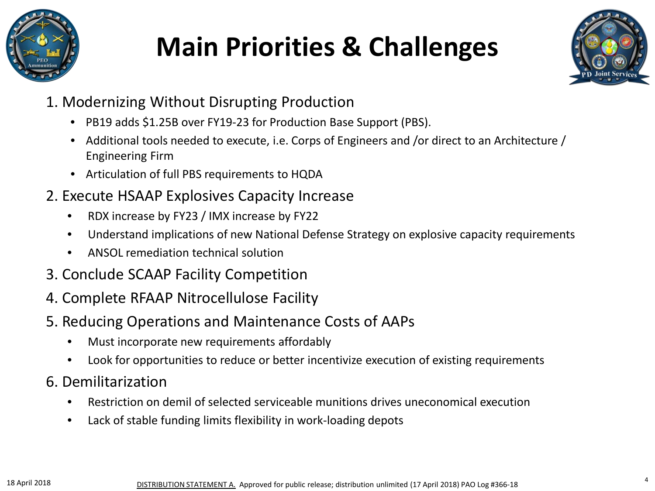

# **Main Priorities & Challenges**



- 1. Modernizing Without Disrupting Production
	- PB19 adds \$1.25B over FY19-23 for Production Base Support (PBS).
	- Additional tools needed to execute, i.e. Corps of Engineers and /or direct to an Architecture / Engineering Firm
	- Articulation of full PBS requirements to HQDA

#### 2. Execute HSAAP Explosives Capacity Increase

- RDX increase by FY23 / IMX increase by FY22
- Understand implications of new National Defense Strategy on explosive capacity requirements
- ANSOL remediation technical solution
- 3. Conclude SCAAP Facility Competition
- 4. Complete RFAAP Nitrocellulose Facility
- 5. Reducing Operations and Maintenance Costs of AAPs
	- Must incorporate new requirements affordably
	- Look for opportunities to reduce or better incentivize execution of existing requirements
- 6. Demilitarization
	- Restriction on demil of selected serviceable munitions drives uneconomical execution
	- Lack of stable funding limits flexibility in work-loading depots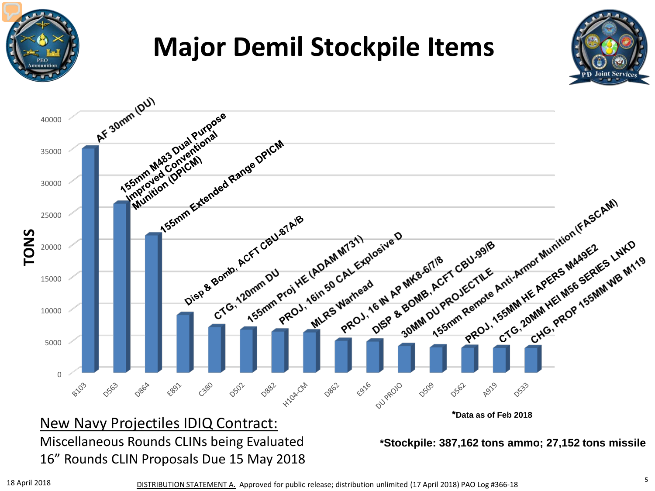

### **Major Demil Stockpile Items**





Miscellaneous Rounds CLINs being Evaluated 16" Rounds CLIN Proposals Due 15 May 2018

**\*Stockpile: 387,162 tons ammo; 27,152 tons missile**